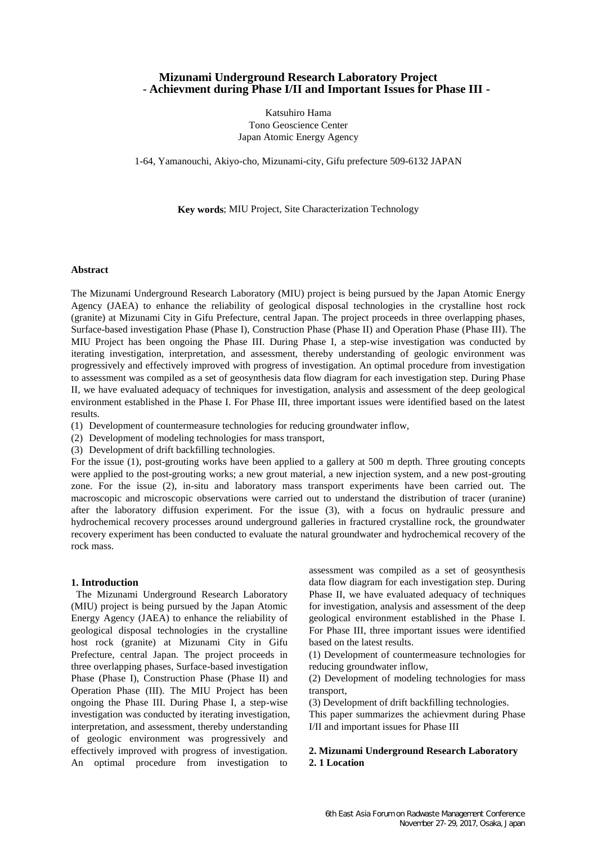# **Mizunami Underground Research Laboratory Project** - **Achievment during Phase I/II and Important Issues for Phase III -**

Katsuhiro Hama Tono Geoscience Center Japan Atomic Energy Agency

1-64, Yamanouchi, Akiyo-cho, Mizunami-city, Gifu prefecture 509-6132 JAPAN

**Key words**; MIU Project, Site Characterization Technology

#### **Abstract**

The Mizunami Underground Research Laboratory (MIU) project is being pursued by the Japan Atomic Energy Agency (JAEA) to enhance the reliability of geological disposal technologies in the crystalline host rock (granite) at Mizunami City in Gifu Prefecture, central Japan. The project proceeds in three overlapping phases, Surface-based investigation Phase (Phase I), Construction Phase (Phase II) and Operation Phase (Phase III). The MIU Project has been ongoing the Phase III. During Phase I, a step-wise investigation was conducted by iterating investigation, interpretation, and assessment, thereby understanding of geologic environment was progressively and effectively improved with progress of investigation. An optimal procedure from investigation to assessment was compiled as a set of geosynthesis data flow diagram for each investigation step. During Phase II, we have evaluated adequacy of techniques for investigation, analysis and assessment of the deep geological environment established in the Phase I. For Phase III, three important issues were identified based on the latest results.

(1) Development of countermeasure technologies for reducing groundwater inflow,

- (2) Development of modeling technologies for mass transport,
- (3) Development of drift backfilling technologies.

For the issue (1), post-grouting works have been applied to a gallery at 500 m depth. Three grouting concepts were applied to the post-grouting works; a new grout material, a new injection system, and a new post-grouting zone. For the issue (2), in-situ and laboratory mass transport experiments have been carried out. The macroscopic and microscopic observations were carried out to understand the distribution of tracer (uranine) after the laboratory diffusion experiment. For the issue (3), with a focus on hydraulic pressure and hydrochemical recovery processes around underground galleries in fractured crystalline rock, the groundwater recovery experiment has been conducted to evaluate the natural groundwater and hydrochemical recovery of the rock mass.

#### **1. Introduction**

The Mizunami Underground Research Laboratory (MIU) project is being pursued by the Japan Atomic Energy Agency (JAEA) to enhance the reliability of geological disposal technologies in the crystalline host rock (granite) at Mizunami City in Gifu Prefecture, central Japan. The project proceeds in three overlapping phases, Surface-based investigation Phase (Phase I), Construction Phase (Phase II) and Operation Phase (III). The MIU Project has been ongoing the Phase III. During Phase I, a step-wise investigation was conducted by iterating investigation, interpretation, and assessment, thereby understanding of geologic environment was progressively and effectively improved with progress of investigation. An optimal procedure from investigation to

assessment was compiled as a set of geosynthesis data flow diagram for each investigation step. During Phase II, we have evaluated adequacy of techniques for investigation, analysis and assessment of the deep geological environment established in the Phase I. For Phase III, three important issues were identified based on the latest results.

(1) Development of countermeasure technologies for reducing groundwater inflow,

(2) Development of modeling technologies for mass transport,

(3) Development of drift backfilling technologies.

This paper summarizes the achievment during Phase I/II and important issues for Phase III

# **2. Mizunami Underground Research Laboratory 2. 1 Location**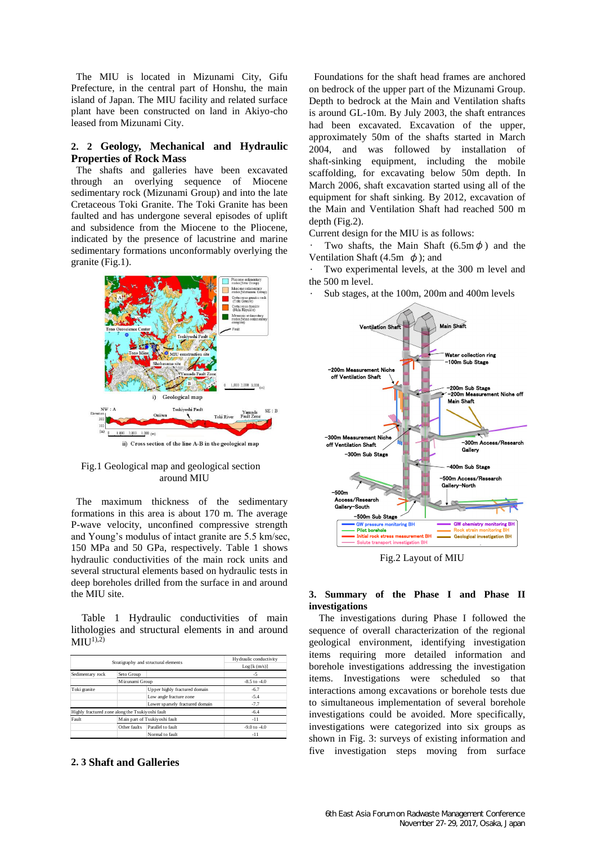The MIU is located in Mizunami City, Gifu Prefecture, in the central part of Honshu, the main island of Japan. The MIU facility and related surface plant have been constructed on land in Akiyo-cho leased from Mizunami City.

# **2. 2 Geology, Mechanical and Hydraulic Properties of Rock Mass**

The shafts and galleries have been excavated through an overlying sequence of Miocene sedimentary rock (Mizunami Group) and into the late Cretaceous Toki Granite. The Toki Granite has been faulted and has undergone several episodes of uplift and subsidence from the Miocene to the Pliocene, indicated by the presence of lacustrine and marine sedimentary formations unconformably overlying the granite (Fig.1).



ii) Cross section of the line A-B in the geological map

### Fig.1 Geological map and geological section around MIU

The maximum thickness of the sedimentary formations in this area is about 170 m. The average P-wave velocity, unconfined compressive strength and Young's modulus of intact granite are 5.5 km/sec, 150 MPa and 50 GPa, respectively. Table 1 shows hydraulic conductivities of the main rock units and several structural elements based on hydraulic tests in deep boreholes drilled from the surface in and around the MIU site.

Table 1 Hydraulic conductivities of main lithologies and structural elements in and around  $MIU^{1,2)}$ 

| Stratigraphy and structural elements             |                               |                                 | Hydraulic conductivity<br>Log[k(m/s)] |
|--------------------------------------------------|-------------------------------|---------------------------------|---------------------------------------|
| Sedimentary rock                                 | Seto Group                    |                                 | $-5$                                  |
|                                                  | Mizunami Group                |                                 | $-8.5$ to $-4.0$                      |
| Toki granite                                     |                               | Upper highly fractured domain   | $-6.7$                                |
|                                                  |                               | Low angle fracture zone         | $-5.4$                                |
|                                                  |                               | Lower sparsely fractured domain | $-7.7$                                |
| Highly fractured zone along the Tsukiyoshi fault |                               |                                 | $-6.4$                                |
| Fault                                            | Main part of Tsukiyoshi fault |                                 | $-11$                                 |
|                                                  | Other faults                  | Parallel to fault               | $-9.0$ to $-4.0$                      |
|                                                  |                               | Normal to fault                 | -11                                   |

## **2. 3 Shaft and Galleries**

Foundations for the shaft head frames are anchored on bedrock of the upper part of the Mizunami Group. Depth to bedrock at the Main and Ventilation shafts is around GL-10m. By July 2003, the shaft entrances had been excavated. Excavation of the upper, approximately 50m of the shafts started in March 2004, and was followed by installation of shaft-sinking equipment, including the mobile scaffolding, for excavating below 50m depth. In March 2006, shaft excavation started using all of the equipment for shaft sinking. By 2012, excavation of the Main and Ventilation Shaft had reached 500 m depth (Fig.2).

Current design for the MIU is as follows:

Two shafts, the Main Shaft  $(6.5m\phi)$  and the Ventilation Shaft (4.5m  $\phi$ ); and

Two experimental levels, at the 300 m level and the 500 m level.

• Sub stages, at the 100m, 200m and 400m levels



Fig.2 Layout of MIU

## **3. Summary of the Phase I and Phase II investigations**

The investigations during Phase I followed the sequence of overall characterization of the regional geological environment, identifying investigation items requiring more detailed information and borehole investigations addressing the investigation items. Investigations were scheduled so that interactions among excavations or borehole tests due to simultaneous implementation of several borehole investigations could be avoided. More specifically, investigations were categorized into six groups as shown in Fig. 3: surveys of existing information and five investigation steps moving from surface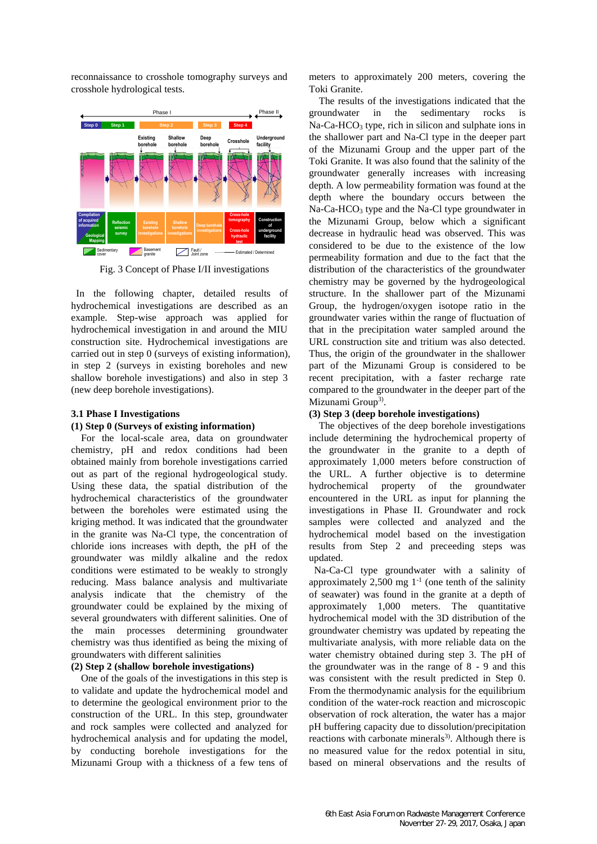reconnaissance to crosshole tomography surveys and crosshole hydrological tests.



Fig. 3 Concept of Phase I/II investigations

In the following chapter, detailed results of hydrochemical investigations are described as an example. Step-wise approach was applied for hydrochemical investigation in and around the MIU construction site. Hydrochemical investigations are carried out in step 0 (surveys of existing information), in step 2 (surveys in existing boreholes and new shallow borehole investigations) and also in step 3 (new deep borehole investigations).

### **3.1 Phase I Investigations**

### **(1) Step 0 (Surveys of existing information)**

For the local-scale area, data on groundwater chemistry, pH and redox conditions had been obtained mainly from borehole investigations carried out as part of the regional hydrogeological study. Using these data, the spatial distribution of the hydrochemical characteristics of the groundwater between the boreholes were estimated using the kriging method. It was indicated that the groundwater in the granite was Na-Cl type, the concentration of chloride ions increases with depth, the pH of the groundwater was mildly alkaline and the redox conditions were estimated to be weakly to strongly reducing. Mass balance analysis and multivariate analysis indicate that the chemistry of the groundwater could be explained by the mixing of several groundwaters with different salinities. One of the main processes determining groundwater chemistry was thus identified as being the mixing of groundwaters with different salinities

## **(2) Step 2 (shallow borehole investigations)**

One of the goals of the investigations in this step is to validate and update the hydrochemical model and to determine the geological environment prior to the construction of the URL. In this step, groundwater and rock samples were collected and analyzed for hydrochemical analysis and for updating the model, by conducting borehole investigations for the Mizunami Group with a thickness of a few tens of meters to approximately 200 meters, covering the Toki Granite.

The results of the investigations indicated that the groundwater in the sedimentary rocks is Na-Ca-HCO<sub>3</sub> type, rich in silicon and sulphate ions in the shallower part and Na-Cl type in the deeper part of the Mizunami Group and the upper part of the Toki Granite. It was also found that the salinity of the groundwater generally increases with increasing depth. A low permeability formation was found at the depth where the boundary occurs between the Na-Ca-HCO<sub>3</sub> type and the Na-Cl type groundwater in the Mizunami Group, below which a significant decrease in hydraulic head was observed. This was considered to be due to the existence of the low permeability formation and due to the fact that the distribution of the characteristics of the groundwater chemistry may be governed by the hydrogeological structure. In the shallower part of the Mizunami Group, the hydrogen/oxygen isotope ratio in the groundwater varies within the range of fluctuation of that in the precipitation water sampled around the URL construction site and tritium was also detected. Thus, the origin of the groundwater in the shallower part of the Mizunami Group is considered to be recent precipitation, with a faster recharge rate compared to the groundwater in the deeper part of the Mizunami Group<sup>3)</sup>.

### **(3) Step 3 (deep borehole investigations)**

The objectives of the deep borehole investigations include determining the hydrochemical property of the groundwater in the granite to a depth of approximately 1,000 meters before construction of the URL. A further objective is to determine hydrochemical property of the groundwater encountered in the URL as input for planning the investigations in Phase II. Groundwater and rock samples were collected and analyzed and the hydrochemical model based on the investigation results from Step 2 and preceeding steps was updated.

Na-Ca-Cl type groundwater with a salinity of approximately 2,500 mg  $1^{-1}$  (one tenth of the salinity of seawater) was found in the granite at a depth of approximately 1,000 meters. The quantitative hydrochemical model with the 3D distribution of the groundwater chemistry was updated by repeating the multivariate analysis, with more reliable data on the water chemistry obtained during step 3. The pH of the groundwater was in the range of 8 - 9 and this was consistent with the result predicted in Step 0. From the thermodynamic analysis for the equilibrium condition of the water-rock reaction and microscopic observation of rock alteration, the water has a major pH buffering capacity due to dissolution/precipitation reactions with carbonate minerals<sup>3)</sup>. Although there is no measured value for the redox potential in situ, based on mineral observations and the results of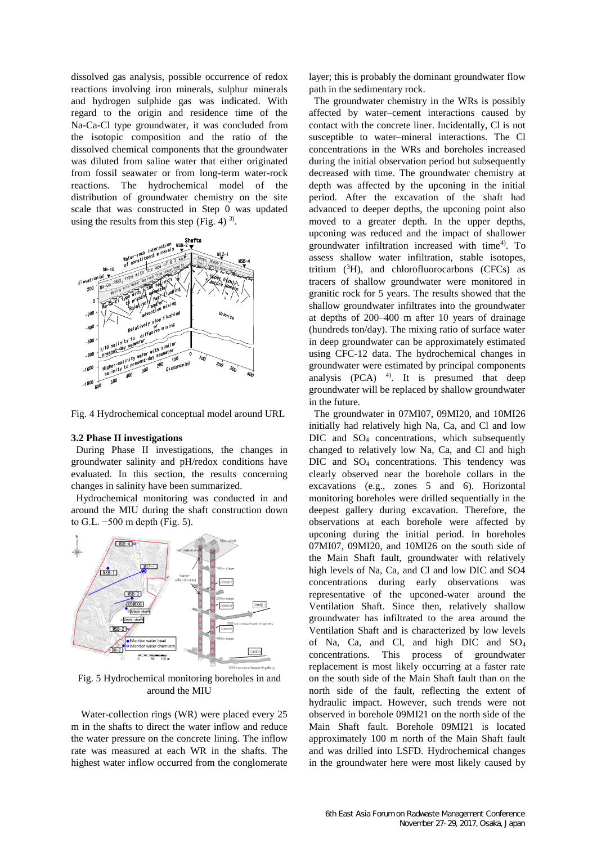dissolved gas analysis, possible occurrence of redox reactions involving iron minerals, sulphur minerals and hydrogen sulphide gas was indicated. With regard to the origin and residence time of the Na-Ca-Cl type groundwater, it was concluded from the isotopic composition and the ratio of the dissolved chemical components that the groundwater was diluted from saline water that either originated from fossil seawater or from long-term water-rock reactions. The hydrochemical model of the distribution of groundwater chemistry on the site scale that was constructed in Step 0 was updated using the results from this step (Fig. 4)  $^{3}$ ).



Fig. 4 Hydrochemical conceptual model around URL

#### **3.2 Phase II investigations**

During Phase II investigations, the changes in groundwater salinity and pH/redox conditions have evaluated. In this section, the results concerning changes in salinity have been summarized.

Hydrochemical monitoring was conducted in and around the MIU during the shaft construction down to G.L. −500 m depth (Fig. 5).



Fig. 5 Hydrochemical monitoring boreholes in and around the MIU

Water-collection rings (WR) were placed every 25 m in the shafts to direct the water inflow and reduce the water pressure on the concrete lining. The inflow rate was measured at each WR in the shafts. The highest water inflow occurred from the conglomerate

layer; this is probably the dominant groundwater flow path in the sedimentary rock.

The groundwater chemistry in the WRs is possibly affected by water–cement interactions caused by contact with the concrete liner. Incidentally, Cl is not susceptible to water–mineral interactions. The Cl concentrations in the WRs and boreholes increased during the initial observation period but subsequently decreased with time. The groundwater chemistry at depth was affected by the upconing in the initial period. After the excavation of the shaft had advanced to deeper depths, the upconing point also moved to a greater depth. In the upper depths, upconing was reduced and the impact of shallower groundwater infiltration increased with time<sup>4)</sup>. To assess shallow water infiltration, stable isotopes, tritium  $(^{3}H)$ , and chlorofluorocarbons (CFCs) as tracers of shallow groundwater were monitored in granitic rock for 5 years. The results showed that the shallow groundwater infiltrates into the groundwater at depths of 200–400 m after 10 years of drainage (hundreds ton/day). The mixing ratio of surface water in deep groundwater can be approximately estimated using CFC-12 data. The hydrochemical changes in groundwater were estimated by principal components analysis  $(PCA)$ <sup>4)</sup>. It is presumed that deep groundwater will be replaced by shallow groundwater in the future.

The groundwater in 07MI07, 09MI20, and 10MI26 initially had relatively high Na, Ca, and Cl and low DIC and SO<sub>4</sub> concentrations, which subsequently changed to relatively low Na, Ca, and Cl and high DIC and SO4 concentrations. This tendency was clearly observed near the borehole collars in the excavations (e.g., zones 5 and 6). Horizontal monitoring boreholes were drilled sequentially in the deepest gallery during excavation. Therefore, the observations at each borehole were affected by upconing during the initial period. In boreholes 07MI07, 09MI20, and 10MI26 on the south side of the Main Shaft fault, groundwater with relatively high levels of Na, Ca, and Cl and low DIC and SO4 concentrations during early observations was representative of the upconed-water around the Ventilation Shaft. Since then, relatively shallow groundwater has infiltrated to the area around the Ventilation Shaft and is characterized by low levels of Na, Ca, and Cl, and high DIC and SO<sup>4</sup> concentrations. This process of groundwater replacement is most likely occurring at a faster rate on the south side of the Main Shaft fault than on the north side of the fault, reflecting the extent of hydraulic impact. However, such trends were not observed in borehole 09MI21 on the north side of the Main Shaft fault. Borehole 09MI21 is located approximately 100 m north of the Main Shaft fault and was drilled into LSFD. Hydrochemical changes in the groundwater here were most likely caused by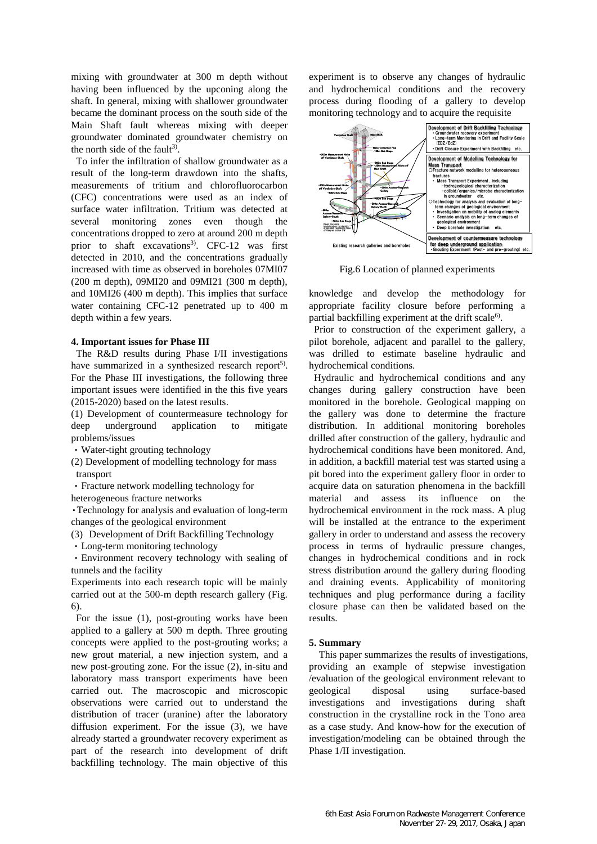mixing with groundwater at 300 m depth without having been influenced by the upconing along the shaft. In general, mixing with shallower groundwater became the dominant process on the south side of the Main Shaft fault whereas mixing with deeper groundwater dominated groundwater chemistry on the north side of the fault<sup>3)</sup>.

To infer the infiltration of shallow groundwater as a result of the long-term drawdown into the shafts, measurements of tritium and chlorofluorocarbon (CFC) concentrations were used as an index of surface water infiltration. Tritium was detected at several monitoring zones even though the concentrations dropped to zero at around 200 m depth prior to shaft excavations<sup>3)</sup>. CFC-12 was first detected in 2010, and the concentrations gradually increased with time as observed in boreholes 07MI07 (200 m depth), 09MI20 and 09MI21 (300 m depth), and 10MI26 (400 m depth). This implies that surface water containing CFC-12 penetrated up to 400 m depth within a few years.

#### **4. Important issues for Phase III**

The R&D results during Phase I/II investigations have summarized in a synthesized research report<sup>5)</sup>. For the Phase III investigations, the following three important issues were identified in the this five years (2015-2020) based on the latest results.

(1) Development of countermeasure technology for deep underground application to mitigate problems/issues

・Water-tight grouting technology

(2) Development of modelling technology for mass transport

・Fracture network modelling technology for

heterogeneous fracture networks

・Technology for analysis and evaluation of long-term changes of the geological environment

(3) Development of Drift Backfilling Technology

・Long-term monitoring technology

・Environment recovery technology with sealing of tunnels and the facility

Experiments into each research topic will be mainly carried out at the 500-m depth research gallery (Fig. 6).

For the issue (1), post-grouting works have been applied to a gallery at 500 m depth. Three grouting concepts were applied to the post-grouting works; a new grout material, a new injection system, and a new post-grouting zone. For the issue (2), in-situ and laboratory mass transport experiments have been carried out. The macroscopic and microscopic observations were carried out to understand the distribution of tracer (uranine) after the laboratory diffusion experiment. For the issue (3), we have already started a groundwater recovery experiment as part of the research into development of drift backfilling technology. The main objective of this

experiment is to observe any changes of hydraulic and hydrochemical conditions and the recovery process during flooding of a gallery to develop monitoring technology and to acquire the requisite



Fig.6 Location of planned experiments

knowledge and develop the methodology for appropriate facility closure before performing a partial backfilling experiment at the drift scale<sup>6)</sup>.

Prior to construction of the experiment gallery, a pilot borehole, adjacent and parallel to the gallery, was drilled to estimate baseline hydraulic and hydrochemical conditions.

Hydraulic and hydrochemical conditions and any changes during gallery construction have been monitored in the borehole. Geological mapping on the gallery was done to determine the fracture distribution. In additional monitoring boreholes drilled after construction of the gallery, hydraulic and hydrochemical conditions have been monitored. And, in addition, a backfill material test was started using a pit bored into the experiment gallery floor in order to acquire data on saturation phenomena in the backfill material and assess its influence on the hydrochemical environment in the rock mass. A plug will be installed at the entrance to the experiment gallery in order to understand and assess the recovery process in terms of hydraulic pressure changes, changes in hydrochemical conditions and in rock stress distribution around the gallery during flooding and draining events. Applicability of monitoring techniques and plug performance during a facility closure phase can then be validated based on the results.

### **5. Summary**

This paper summarizes the results of investigations, providing an example of stepwise investigation /evaluation of the geological environment relevant to geological disposal using surface-based investigations and investigations during shaft construction in the crystalline rock in the Tono area as a case study. And know-how for the execution of investigation/modeling can be obtained through the Phase 1/II investigation.